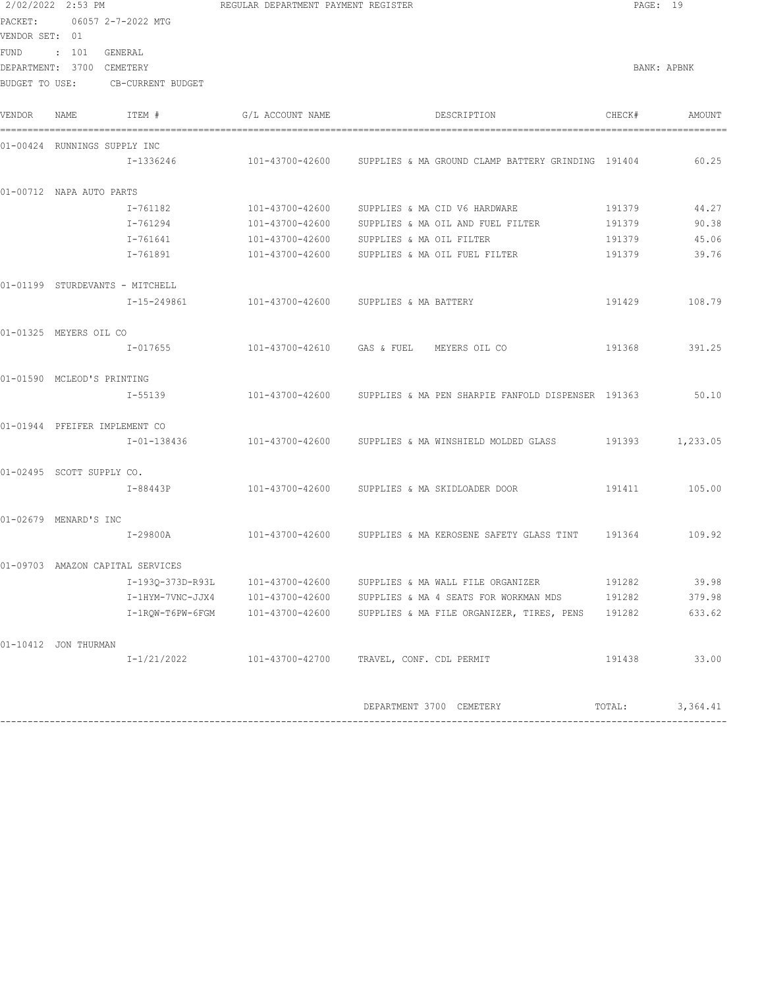| 2/02/2022 2:53 PM             |                                  | REGULAR DEPARTMENT PAYMENT REGISTER |                                               |                          |                                                                    | PAGE: 19 |             |
|-------------------------------|----------------------------------|-------------------------------------|-----------------------------------------------|--------------------------|--------------------------------------------------------------------|----------|-------------|
| PACKET:<br>06057 2-7-2022 MTG |                                  |                                     |                                               |                          |                                                                    |          |             |
| VENDOR SET: 01                |                                  |                                     |                                               |                          |                                                                    |          |             |
| FUND                          | : 101                            | GENERAL                             |                                               |                          |                                                                    |          |             |
|                               | DEPARTMENT: 3700 CEMETERY        |                                     |                                               |                          |                                                                    |          | BANK: APBNK |
| BUDGET TO USE:                |                                  | CB-CURRENT BUDGET                   |                                               |                          |                                                                    |          |             |
| VENDOR                        | NAME                             | ITEM #                              | G/L ACCOUNT NAME                              |                          | DESCRIPTION                                                        | CHECK#   | AMOUNT      |
|                               | 01-00424 RUNNINGS SUPPLY INC     |                                     |                                               |                          |                                                                    |          |             |
|                               |                                  | I-1336246                           |                                               |                          | 101-43700-42600 SUPPLIES & MA GROUND CLAMP BATTERY GRINDING 191404 |          | 60.25       |
|                               | 01-00712 NAPA AUTO PARTS         |                                     |                                               |                          |                                                                    |          |             |
|                               |                                  | I-761182                            | 101-43700-42600                               |                          | SUPPLIES & MA CID V6 HARDWARE                                      | 191379   | 44.27       |
|                               |                                  | I-761294                            | 101-43700-42600                               |                          | SUPPLIES & MA OIL AND FUEL FILTER                                  | 191379   | 90.38       |
|                               |                                  | I-761641                            | 101-43700-42600                               | SUPPLIES & MA OIL FILTER |                                                                    | 191379   | 45.06       |
|                               |                                  | I-761891                            | 101-43700-42600                               |                          | SUPPLIES & MA OIL FUEL FILTER                                      | 191379   | 39.76       |
|                               | 01-01199 STURDEVANTS - MITCHELL  |                                     |                                               |                          |                                                                    |          |             |
|                               |                                  | I-15-249861                         | 101-43700-42600                               | SUPPLIES & MA BATTERY    |                                                                    | 191429   | 108.79      |
|                               | 01-01325 MEYERS OIL CO           |                                     |                                               |                          |                                                                    |          |             |
|                               |                                  | I-017655                            | 101-43700-42610 GAS & FUEL MEYERS OIL CO      |                          |                                                                    | 191368   | 391.25      |
|                               | 01-01590 MCLEOD'S PRINTING       |                                     |                                               |                          |                                                                    |          |             |
|                               |                                  | I-55139                             |                                               |                          | 101-43700-42600 SUPPLIES & MA PEN SHARPIE FANFOLD DISPENSER 191363 |          | 50.10       |
|                               | 01-01944 PFEIFER IMPLEMENT CO    |                                     |                                               |                          |                                                                    |          |             |
|                               |                                  | I-01-138436                         |                                               |                          | 101-43700-42600 SUPPLIES & MA WINSHIELD MOLDED GLASS               | 191393   | 1,233.05    |
|                               | 01-02495 SCOTT SUPPLY CO.        |                                     |                                               |                          |                                                                    |          |             |
|                               |                                  | I-88443P                            | 101-43700-42600 SUPPLIES & MA SKIDLOADER DOOR |                          |                                                                    | 191411   | 105.00      |
|                               | 01-02679 MENARD'S INC            |                                     |                                               |                          |                                                                    |          |             |
|                               |                                  | I-29800A                            | 101-43700-42600                               |                          | SUPPLIES & MA KEROSENE SAFETY GLASS TINT 191364                    |          | 109.92      |
|                               | 01-09703 AMAZON CAPITAL SERVICES |                                     |                                               |                          |                                                                    |          |             |
|                               |                                  |                                     | I-193Q-373D-R93L 101-43700-42600              |                          | SUPPLIES & MA WALL FILE ORGANIZER                                  | 191282   | 39.98       |
|                               |                                  |                                     | I-1HYM-7VNC-JJX4 101-43700-42600              |                          | SUPPLIES & MA 4 SEATS FOR WORKMAN MDS                              | 191282   | 379.98      |
|                               |                                  |                                     |                                               |                          | SUPPLIES & MA FILE ORGANIZER, TIRES, PENS                          | 191282   | 633.62      |
|                               | 01-10412 JON THURMAN             |                                     |                                               |                          |                                                                    |          |             |
|                               |                                  | I-1/21/2022                         | 101-43700-42700                               | TRAVEL, CONF. CDL PERMIT |                                                                    | 191438   | 33.00       |
|                               |                                  |                                     |                                               |                          |                                                                    |          |             |
|                               |                                  |                                     |                                               |                          | DEPARTMENT 3700 CEMETERY                                           | TOTAL:   | 3,364.41    |